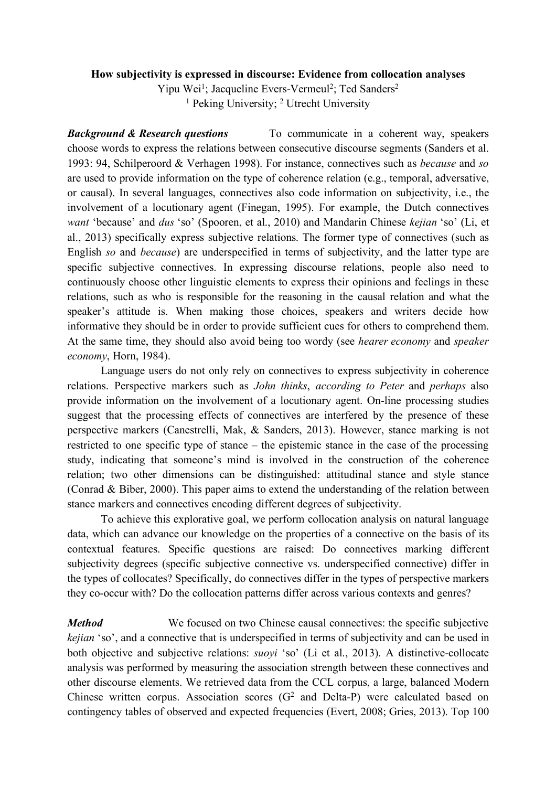## **How subjectivity is expressed in discourse: Evidence from collocation analyses**

Yipu Wei<sup>1</sup>; Jacqueline Evers-Vermeul<sup>2</sup>; Ted Sanders<sup>2</sup> <sup>1</sup> Peking University; <sup>2</sup> Utrecht University

*Background & Research questions* To communicate in a coherent way, speakers choose words to express the relations between consecutive discourse segments (Sanders et al. 1993: 94, Schilperoord & Verhagen 1998). For instance, connectives such as *because* and *so*  are used to provide information on the type of coherence relation (e.g., temporal, adversative, or causal). In several languages, connectives also code information on subjectivity, i.e., the involvement of a locutionary agent (Finegan, 1995). For example, the Dutch connectives *want* 'because' and *dus* 'so' (Spooren, et al., 2010) and Mandarin Chinese *kejian* 'so' (Li, et al., 2013) specifically express subjective relations. The former type of connectives (such as English *so* and *because*) are underspecified in terms of subjectivity, and the latter type are specific subjective connectives. In expressing discourse relations, people also need to continuously choose other linguistic elements to express their opinions and feelings in these relations, such as who is responsible for the reasoning in the causal relation and what the speaker's attitude is. When making those choices, speakers and writers decide how informative they should be in order to provide sufficient cues for others to comprehend them. At the same time, they should also avoid being too wordy (see *hearer economy* and *speaker economy*, Horn, 1984).

Language users do not only rely on connectives to express subjectivity in coherence relations. Perspective markers such as *John thinks*, *according to Peter* and *perhaps* also provide information on the involvement of a locutionary agent. On-line processing studies suggest that the processing effects of connectives are interfered by the presence of these perspective markers (Canestrelli, Mak, & Sanders, 2013). However, stance marking is not restricted to one specific type of stance – the epistemic stance in the case of the processing study, indicating that someone's mind is involved in the construction of the coherence relation; two other dimensions can be distinguished: attitudinal stance and style stance (Conrad & Biber, 2000). This paper aims to extend the understanding of the relation between stance markers and connectives encoding different degrees of subjectivity.

To achieve this explorative goal, we perform collocation analysis on natural language data, which can advance our knowledge on the properties of a connective on the basis of its contextual features. Specific questions are raised: Do connectives marking different subjectivity degrees (specific subjective connective vs. underspecified connective) differ in the types of collocates? Specifically, do connectives differ in the types of perspective markers they co-occur with? Do the collocation patterns differ across various contexts and genres?

*Method* We focused on two Chinese causal connectives: the specific subjective *kejian* 'so', and a connective that is underspecified in terms of subjectivity and can be used in both objective and subjective relations: *suoyi* 'so' (Li et al., 2013). A distinctive-collocate analysis was performed by measuring the association strength between these connectives and other discourse elements. We retrieved data from the CCL corpus, a large, balanced Modern Chinese written corpus. Association scores  $(G<sup>2</sup>$  and Delta-P) were calculated based on contingency tables of observed and expected frequencies (Evert, 2008; Gries, 2013). Top 100